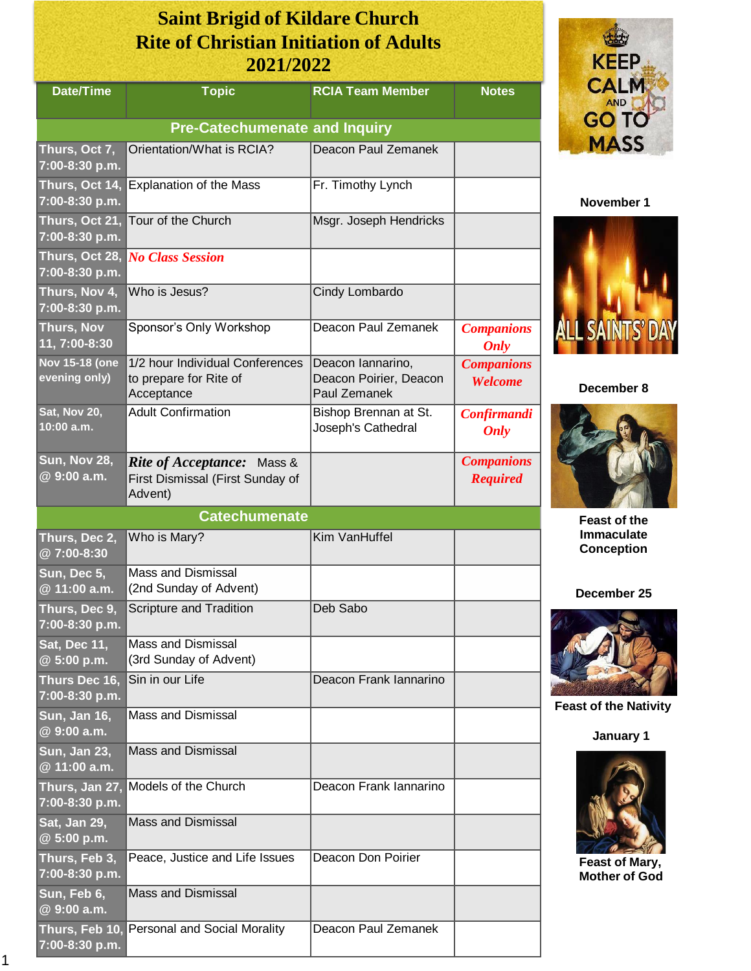## **Saint Brigid of Kildare Church Rite of Christian Initiation of Adults 2021/2022**

| <b>Date/Time</b>                       | <b>Topic</b>                                                                     | <b>RCIA Team Member</b>                                     | <b>Notes</b>                         |  |
|----------------------------------------|----------------------------------------------------------------------------------|-------------------------------------------------------------|--------------------------------------|--|
| <b>Pre-Catechumenate and Inquiry</b>   |                                                                                  |                                                             |                                      |  |
| Thurs, Oct 7,<br>7:00-8:30 p.m.        | Orientation/What is RCIA?                                                        | Deacon Paul Zemanek                                         |                                      |  |
| Thurs, Oct 14,<br>7:00-8:30 p.m.       | <b>Explanation of the Mass</b>                                                   | Fr. Timothy Lynch                                           |                                      |  |
| Thurs, Oct 21,<br>7:00-8:30 p.m.       | Tour of the Church                                                               | Msgr. Joseph Hendricks                                      |                                      |  |
| Thurs, Oct 28,<br>7:00-8:30 p.m.       | <b>No Class Session</b>                                                          |                                                             |                                      |  |
| Thurs, Nov 4,<br>7:00-8:30 p.m.        | Who is Jesus?                                                                    | Cindy Lombardo                                              |                                      |  |
| <b>Thurs, Nov</b><br>11, 7:00-8:30     | Sponsor's Only Workshop                                                          | Deacon Paul Zemanek                                         | <b>Companions</b><br>Only            |  |
| <b>Nov 15-18 (one</b><br>evening only) | 1/2 hour Individual Conferences<br>to prepare for Rite of<br>Acceptance          | Deacon Iannarino,<br>Deacon Poirier, Deacon<br>Paul Zemanek | <b>Companions</b><br>Welcome         |  |
| Sat, Nov 20,<br>10:00 a.m.             | <b>Adult Confirmation</b>                                                        | Bishop Brennan at St.<br>Joseph's Cathedral                 | Confirmandi<br><b>Only</b>           |  |
| <b>Sun, Nov 28,</b><br>@ 9:00 a.m.     | <b>Rite of Acceptance:</b> Mass &<br>First Dismissal (First Sunday of<br>Advent) |                                                             | <b>Companions</b><br><b>Required</b> |  |
|                                        | <b>Catechumenate</b>                                                             |                                                             |                                      |  |
| Thurs, Dec 2,<br>@7:00-8:30            | Who is Mary?                                                                     | Kim VanHuffel                                               |                                      |  |
| Sun, Dec 5,<br>@ 11:00 a.m.            | <b>Mass and Dismissal</b><br>(2nd Sunday of Advent)                              |                                                             |                                      |  |
| Thurs, Dec 9,<br>7:00-8:30 p.m.        | Scripture and Tradition                                                          | Deb Sabo                                                    |                                      |  |
| Sat, Dec 11,<br>@ 5:00 p.m.            | <b>Mass and Dismissal</b><br>(3rd Sunday of Advent)                              |                                                             |                                      |  |
| Thurs Dec 16,<br>7:00-8:30 p.m.        | Sin in our Life                                                                  | Deacon Frank Iannarino                                      |                                      |  |
| Sun, Jan 16,<br>@ 9:00 a.m.            | <b>Mass and Dismissal</b>                                                        |                                                             |                                      |  |
| Sun, Jan 23,<br>@ 11:00 a.m.           | <b>Mass and Dismissal</b>                                                        |                                                             |                                      |  |
| Thurs, Jan 27,<br>7:00-8:30 p.m.       | Models of the Church                                                             | Deacon Frank lannarino                                      |                                      |  |
| Sat, Jan 29,<br>@ 5:00 p.m.            | <b>Mass and Dismissal</b>                                                        |                                                             |                                      |  |
| Thurs, Feb 3,<br>7:00-8:30 p.m.        | Peace, Justice and Life Issues                                                   | Deacon Don Poirier                                          |                                      |  |
| Sun, Feb 6,<br>@ 9:00 a.m.             | <b>Mass and Dismissal</b>                                                        |                                                             |                                      |  |
| $7:00-8:30 p.m.$                       | Thurs, Feb 10, Personal and Social Morality                                      | Deacon Paul Zemanek                                         |                                      |  |



## **November 1**



**December 8**



**Feast of the Immaculate Conception**

**December 25**



**Feast of the Nativity**

**January 1**



**Feast of Mary, Mother of God**

 1